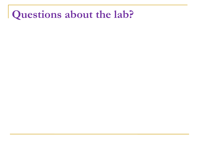### **Questions about the lab?**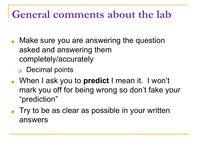#### **General comments about the lab**

- Make sure you are answering the question asked and answering them completely/accurately
	- ❑ Decimal points
- When I ask you to **predict** I mean it. I won't mark you off for being wrong so don't fake your "prediction"
- Try to be as clear as possible in your written answers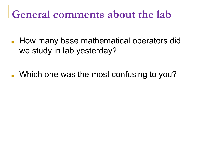#### **General comments about the lab**

- How many base mathematical operators did we study in lab yesterday?
- Which one was the most confusing to you?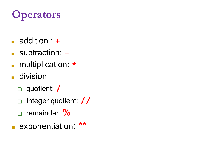# **Operators**

- addition : **+**
- subtraction: **-**
- multiplication: **\***
- division
	- ❑ quotient: **/**
	- ❑ Integer quotient: **//**
	- ❑ remainder: **%**
	- exponentiation: **\*\***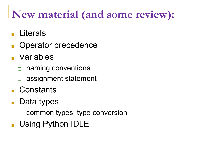### **New material (and some review):**

- **Literals**
- Operator precedence
- Variables
	- ❑ naming conventions
	- ❑ assignment statement
- Constants
- Data types
	- ❑ common types; type conversion
- Using Python IDLE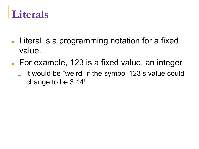#### **Literals**

- Literal is a programming notation for a fixed value.
- For example, 123 is a fixed value, an integer
	- ❑ it would be "weird" if the symbol 123's value could change to be 3.14!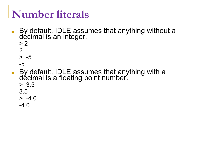#### **Number literals**

- By default, IDLE assumes that anything without a décimal is an integer.
	- $> 2$ 2
	- $> -5$
	- -5
- By default, IDLE assumes that anything with a décimal is a floating point number. > 3.5 3.5  $> -4.0$ 
	- $-4.0$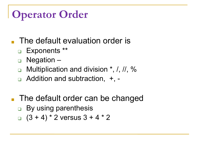## **Operator Order**

- The default evaluation order is
	- ❑ Exponents \*\*
	- ❑ Negation –
	- Multiplication and division  $\star$ , *l*, *ll*, %
	- ❑ Addition and subtraction, +, -
- The default order can be changed
	- ❑ By using parenthesis
	- □  $(3 + 4) * 2$  versus  $3 + 4 * 2$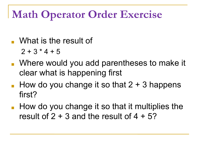### **Math Operator Order Exercise**

- What is the result of
	- $2 + 3 * 4 + 5$
- Where would you add parentheses to make it clear what is happening first
- **How do you change it so that 2 + 3 happens** first?
- How do you change it so that it multiplies the result of  $2 + 3$  and the result of  $4 + 5$ ?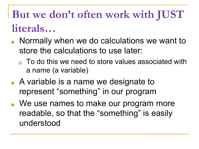# **But we don't often work with JUST literals…**

- Normally when we do calculations we want to store the calculations to use later:
	- □ To do this we need to store values associated with a name (a variable)
- A variable is a name we designate to represent "something" in our program
- We use names to make our program more readable, so that the "something" is easily understood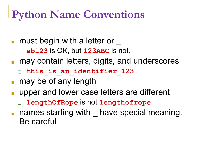### **Python Name Conventions**

- must begin with a letter or
	- ❑ **ab123** is OK, but **123ABC** is not.
- may contain letters, digits, and underscores
	- ❑ **this\_is\_an\_identifier\_123**
- may be of any length
- upper and lower case letters are different
	- ❑ **lengthOfRope** is not **lengthofrope**
- names starting with have special meaning. Be careful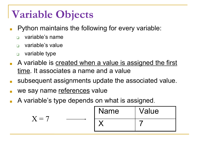## **Variable Objects**

- Python maintains the following for every variable:
	- ❑ variable's name
	- ❑ variable's value
	- ❑ variable type
- A variable is created when a value is assigned the first time. It associates a name and a value
- subsequent assignments update the associated value.
- we say name references value
- A variable's type depends on what is assigned.

$$
X = 7
$$
   
Name   
Value   
7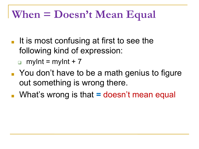### **When = Doesn't Mean Equal**

- It is most confusing at first to see the following kind of expression:
	- $\Box$  myInt = myInt + 7
- You don't have to be a math genius to figure out something is wrong there.
- What's wrong is that **=** doesn't mean equal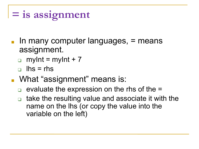```
= is assignment
```
- $\blacksquare$  In many computer languages,  $\equiv$  means assignment.
	- $myInt = myInt + 7$
	- $\Box$  lhs = rhs
- What "assignment" means is:
	- evaluate the expression on the rhs of the  $=$
	- take the resulting value and associate it with the name on the lhs (or copy the value into the variable on the left)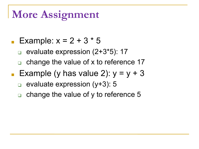#### **More Assignment**

- **Example:**  $x = 2 + 3 * 5$ 
	- ❑ evaluate expression (2+3\*5): 17
	- $\Box$  change the value of x to reference 17
- **Example (y has value 2):**  $y = y + 3$ 
	- evaluate expression (y+3): 5
	- change the value of y to reference 5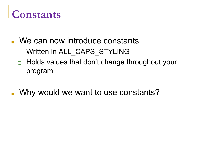### **Constants**

- We can now introduce constants
	- □ Written in ALL\_CAPS\_STYLING
	- Holds values that don't change throughout your program
- Why would we want to use constants?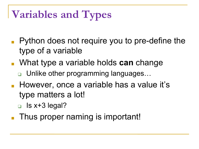# **Variables and Types**

- Python does not require you to pre-define the type of a variable
- What type a variable holds **can** change
	- ❑ Unlike other programming languages…
- However, once a variable has a value it's type matters a lot!
	- $\Box$  Is x+3 legal?
- Thus proper naming is important!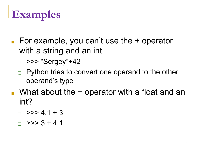# **Examples**

- $\blacksquare$  For example, you can't use the  $+$  operator with a string and an int
	- $\Box$  >>> "Sergey"+42
	- ❑ Python tries to convert one operand to the other operand's type
- $\blacksquare$  What about the  $+$  operator with a float and an int?
	- $\Box$  >>> 4.1 + 3
	- $\Box$  >>> 3 + 4.1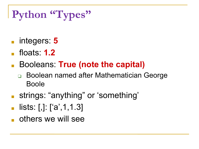# **Python "Types"**

- integers: 5
- floats: **1.2**
- Booleans: **True (note the capital)** 
	- ❑ Boolean named after Mathematician George Boole
- strings: "anything" or 'something'
- $lists:$  [,]:  $[ 'a', 1, 1.3 ]$
- others we will see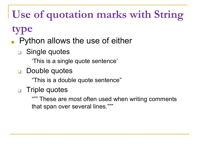# **Use of quotation marks with String**

#### **type**

- Python allows the use of either
	- ❑ Single quotes
		- 'This is a single quote sentence'
	- Double quotes
		- "This is a double quote sentence"
	- ❑ Triple quotes
		- These are most often used when writing comments that span over several lines."""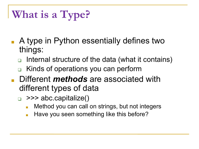## **What is a Type?**

- A type in Python essentially defines two things:
	- Internal structure of the data (what it contains)
	- Kinds of operations you can perform
- Different *methods* are associated with different types of data
	- $\Box$  >>> abc.capitalize()
		- Method you can call on strings, but not integers
		- **Have you seen something like this before?**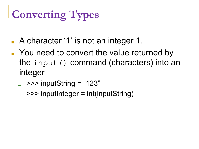# **Converting Types**

- A character '1' is not an integer 1.
- You need to convert the value returned by the input() command (characters) into an integer
	- $\Box$  >>> inputString = "123"
	- $\Box$  >>> inputInteger = int(inputString)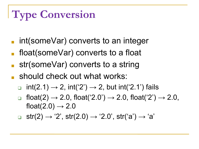# **Type Conversion**

- $\blacksquare$  int(someVar) converts to an integer
- float(someVar) converts to a float
- str(someVar) converts to a string
- should check out what works:
	- $int(2.1) \rightarrow 2$ ,  $int('2') \rightarrow 2$ , but  $int('2.1')$  fails
	- float(2)  $\to$  2.0, float('2.0')  $\to$  2.0, float('2')  $\to$  2.0, float(2.0)  $\rightarrow$  2.0
	- ❑ str(2) → '2', str(2.0) → '2.0', str('a') → 'a'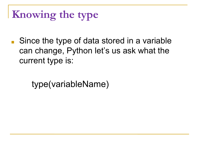## **Knowing the type**

■ Since the type of data stored in a variable can change, Python let's us ask what the current type is:

type(variableName)